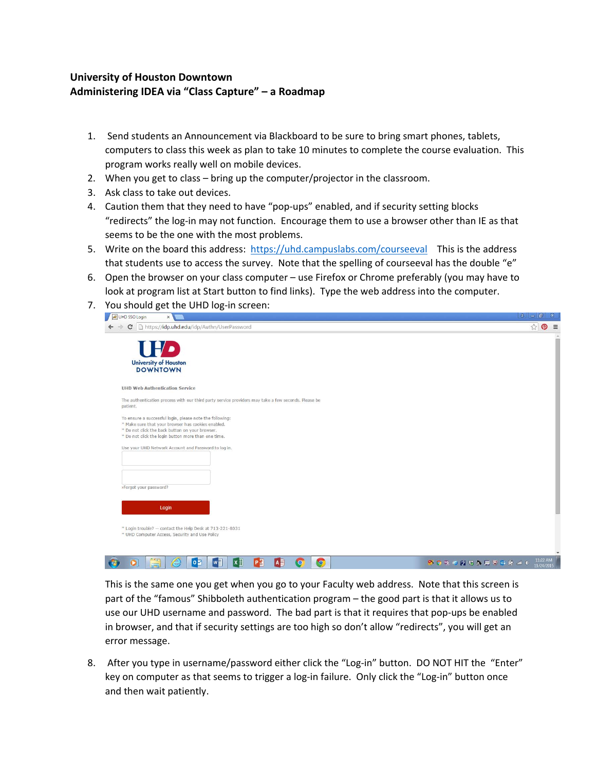## **University of Houston Downtown Administering IDEA via "Class Capture" – a Roadmap**

- 1. Send students an Announcement via Blackboard to be sure to bring smart phones, tablets, computers to class this week as plan to take 10 minutes to complete the course evaluation. This program works really well on mobile devices.
- 2. When you get to class bring up the computer/projector in the classroom.
- 3. Ask class to take out devices.
- 4. Caution them that they need to have "pop-ups" enabled, and if security setting blocks "redirects" the log‐in may not function. Encourage them to use a browser other than IE as that seems to be the one with the most problems.
- 5. Write on the board this address: https://uhd.campuslabs.com/courseeval This is the address that students use to access the survey. Note that the spelling of courseeval has the double "e"
- 6. Open the browser on your class computer use Firefox or Chrome preferably (you may have to look at program list at Start button to find links). Type the web address into the computer.
- 7. You should get the UHD log-in screen:



This is the same one you get when you go to your Faculty web address. Note that this screen is part of the "famous" Shibboleth authentication program – the good part is that it allows us to use our UHD username and password. The bad part is that it requires that pop-ups be enabled in browser, and that if security settings are too high so don't allow "redirects", you will get an error message.

8. After you type in username/password either click the "Log-in" button. DO NOT HIT the "Enter" key on computer as that seems to trigger a log-in failure. Only click the "Log-in" button once and then wait patiently.